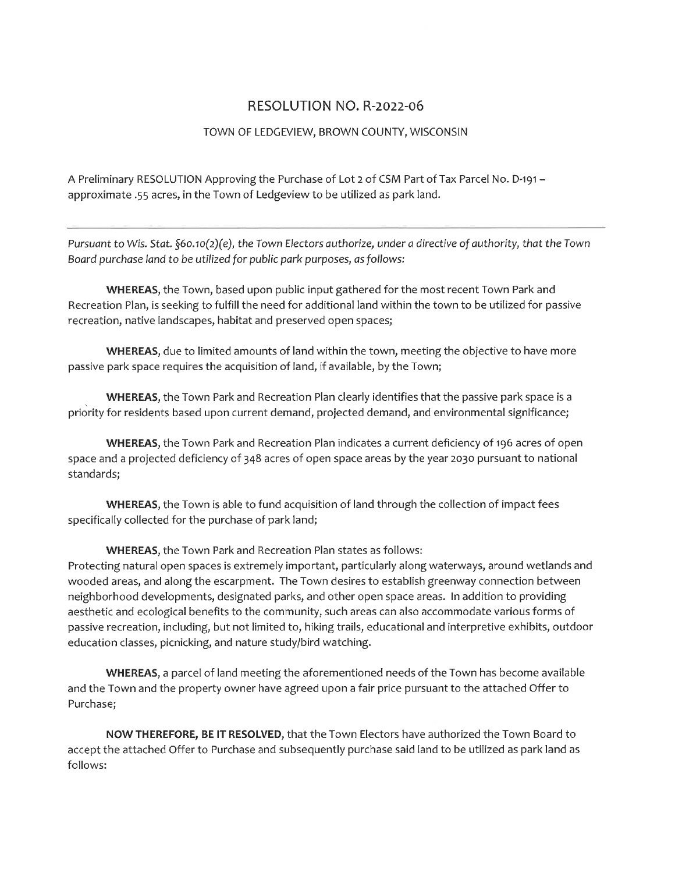## RESOLUTION NO. R-2022-06

## TOWN OF LEDGEVIEW, BROWN COUNTY, WISCONSIN

A Preliminary RESOLUTION Approving the Purchase of Lot 2 of CSM Part of Tax Parcel No. D-191 approximate .55 acres, in the Town of Ledgeview to be utilized as park land.

Pursuant to Wis. Stat. §60.10(2)(e), the Town Electors authorize, under a directive of authority, that the Town Board purchase land to be utilized for public park purposes, as follows:

WHEREAS, the Town, based upon public input gathered for the most recent Town Park and Recreation Plan, is seeking to fulfill the need for additional land within the town to be utilized for passive recreation, native landscapes, habitat and preserved open spaces;

WHEREAS, due to limited amounts of land within the town, meeting the objective to have more passive park space requires the acquisition of land, if available, by the Town;

WHEREAS, the Town Park and Recreation Plan clearly identifies that the passive park space is a priority for residents based upon current demand, projected demand, and environmental significance;

WHEREAS, the Town Park and Recreation Plan indicates a current deficiency of 196 acres of open space and a projected deficiency of 348 acres of open space areas by the year 2030 pursuant to national standards;

WHEREAS, the Town is able to fund acquisition of land through the collection of impact fees specifically collected for the purchase of park land;

**WHEREAS, the Town Park and Recreation Plan states as follows:** 

Protecting natural open spaces is extremely important, particularly along waterways, around wetlands and wooded areas, and along the escarpment. The Town desires to establish greenway connection between neighborhood developments, designated parks, and other open space areas. In addition to providing aesthetic and ecological benefits to the community, such areas can also accommodate various forms of passive recreation, including, but not limited to, hiking trails, educational and interpretive exhibits, outdoor education classes, picnicking, and nature study/bird watching.

WHEREAS, a parcel of land meeting the aforementioned needs of the Town has become available and the Town and the property owner have agreed upon a fair price pursuant to the attached Offer to Purchase;

NOW THEREFORE, BE IT RESOLVED, that the Town Electors have authorized the Town Board to accept the attached Offer to Purchase and subsequently purchase said land to be utilized as park land as follows: